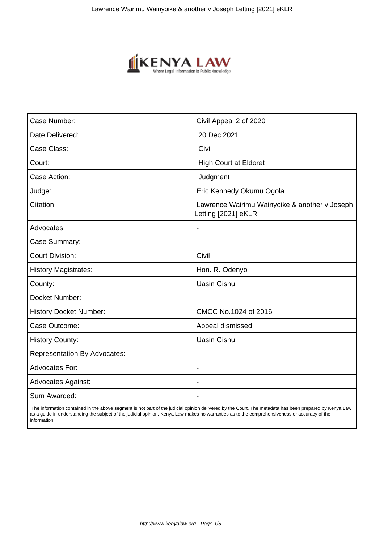

| Case Number:                        | Civil Appeal 2 of 2020                                               |
|-------------------------------------|----------------------------------------------------------------------|
| Date Delivered:                     | 20 Dec 2021                                                          |
| Case Class:                         | Civil                                                                |
| Court:                              | <b>High Court at Eldoret</b>                                         |
| Case Action:                        | Judgment                                                             |
| Judge:                              | Eric Kennedy Okumu Ogola                                             |
| Citation:                           | Lawrence Wairimu Wainyoike & another v Joseph<br>Letting [2021] eKLR |
| Advocates:                          |                                                                      |
| Case Summary:                       |                                                                      |
| <b>Court Division:</b>              | Civil                                                                |
| <b>History Magistrates:</b>         | Hon. R. Odenyo                                                       |
| County:                             | <b>Uasin Gishu</b>                                                   |
| Docket Number:                      |                                                                      |
| <b>History Docket Number:</b>       | CMCC No.1024 of 2016                                                 |
| Case Outcome:                       | Appeal dismissed                                                     |
| <b>History County:</b>              | <b>Uasin Gishu</b>                                                   |
| <b>Representation By Advocates:</b> | $\blacksquare$                                                       |
| Advocates For:                      | ÷                                                                    |
| <b>Advocates Against:</b>           |                                                                      |
| Sum Awarded:                        |                                                                      |

 The information contained in the above segment is not part of the judicial opinion delivered by the Court. The metadata has been prepared by Kenya Law as a guide in understanding the subject of the judicial opinion. Kenya Law makes no warranties as to the comprehensiveness or accuracy of the information.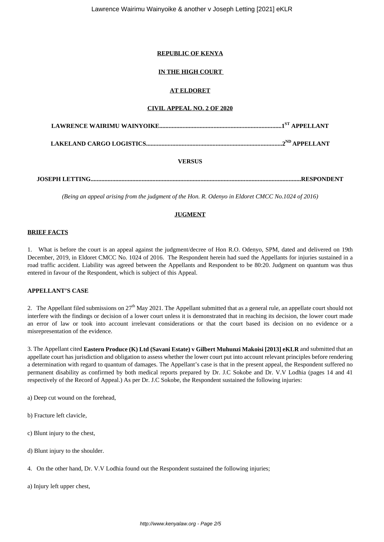## **REPUBLIC OF KENYA**

# **IN THE HIGH COURT**

## **AT ELDORET**

### **CIVIL APPEAL NO. 2 OF 2020**

## **VERSUS**

**JOSEPH LETTING........................................................................................................................................RESPONDENT**

*(Being an appeal arising from the judgment of the Hon. R. Odenyo in Eldoret CMCC No.1024 of 2016)*

## **JUGMENT**

## **BRIEF FACTS**

1. What is before the court is an appeal against the judgment/decree of Hon R.O. Odenyo, SPM, dated and delivered on 19th December, 2019, in Eldoret CMCC No. 1024 of 2016. The Respondent herein had sued the Appellants for injuries sustained in a road traffic accident. Liability was agreed between the Appellants and Respondent to be 80:20. Judgment on quantum was thus entered in favour of the Respondent, which is subject of this Appeal.

## **APPELLANT'S CASE**

2. The Appellant filed submissions on  $27<sup>th</sup>$  May 2021. The Appellant submitted that as a general rule, an appellate court should not interfere with the findings or decision of a lower court unless it is demonstrated that in reaching its decision, the lower court made an error of law or took into account irrelevant considerations or that the court based its decision on no evidence or a misrepresentation of the evidence.

3. The Appellant cited **Eastern Produce (K) Ltd (Savani Estate) v Gilbert Muhunzi Makoisi [2013] eKLR** and submitted that an appellate court has jurisdiction and obligation to assess whether the lower court put into account relevant principles before rendering a determination with regard to quantum of damages. The Appellant's case is that in the present appeal, the Respondent suffered no permanent disability as confirmed by both medical reports prepared by Dr. J.C Sokobe and Dr. V.V Lodhia (pages 14 and 41 respectively of the Record of Appeal.) As per Dr. J.C Sokobe, the Respondent sustained the following injuries:

a) Deep cut wound on the forehead,

- b) Fracture left clavicle,
- c) Blunt injury to the chest,
- d) Blunt injury to the shoulder.
- 4. On the other hand, Dr. V.V Lodhia found out the Respondent sustained the following injuries;

a) Injury left upper chest,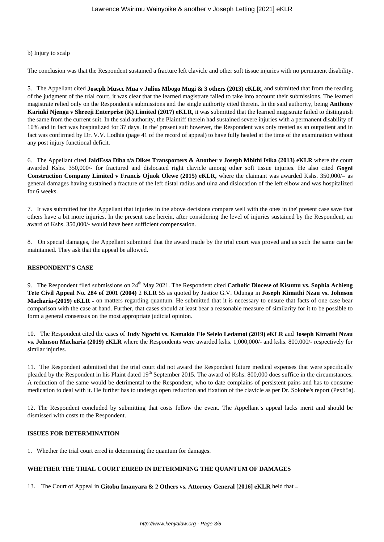#### b) Injury to scalp

The conclusion was that the Respondent sustained a fracture left clavicle and other soft tissue injuries with no permanent disability.

5. The Appellant cited **Joseph Muscc Mua v Julius Mbogo Mugi & 3 others (2013) eKLR,** and submitted that from the reading of the judgment of the trial court, it was clear that the learned magistrate failed to take into account their submissions. The learned magistrate relied only on the Respondent's submissions and the single authority cited therein. In the said authority, being **Anthony Kariuki Njenga v Shreeji Enterprise (K) Limited (2017) eKLR,** it was submitted that the learned magistrate failed to distinguish the same from the current suit. In the said authority, the Plaintiff therein had sustained severe injuries with a permanent disability of 10% and in fact was hospitalized for 37 days. In the' present suit however, the Respondent was only treated as an outpatient and in fact was confirmed by Dr. V.V. Lodhia (page 41 of the record of appeal) to have fully healed at the time of the examination without any post injury functional deficit.

6. The Appellant cited **JaldEssa Diba t/a Dikes Transporters & Another v Joseph Mbithi Isika (2013) eKLR** where the court awarded Kshs. 350,000/- for fractured and dislocated right clavicle among other soft tissue injuries. He also cited **Gogni Construction Company Limited v Francis Ojuok Olewe (2015) eKLR,** where the claimant was awarded Kshs. 350,000/= as general damages having sustained a fracture of the left distal radius and ulna and dislocation of the left elbow and was hospitalized for 6 weeks.

7. It was submitted for the Appellant that injuries in the above decisions compare well with the ones in the' present case save that others have a bit more injuries. In the present case herein, after considering the level of injuries sustained by the Respondent, an award of Kshs. 350,000/- would have been sufficient compensation.

8. On special damages, the Appellant submitted that the award made by the trial court was proved and as such the same can be maintained. They ask that the appeal be allowed.

#### **RESPONDENT'S CASE**

9. The Respondent filed submissions on 24<sup>th</sup> May 2021. The Respondent cited **Catholic Diocese of Kisumu vs. Sophia Achieng Tete Civil Appeal No. 284 of 2001 (2004)** 2 **KLR** 55 as quoted by Justice G.V. Odunga in **Joseph Kimathi Nzau vs. Johnson Macharia-(2019) eKLR -** on matters regarding quantum. He submitted that it is necessary to ensure that facts of one case bear comparison with the case at hand. Further, that cases should at least bear a reasonable measure of similarity for it to be possible to form a general consensus on the most appropriate judicial opinion.

10. The Respondent cited the cases of **Judy Ngochi vs. Kamakia Ele Selelo Ledamoi (2019) eKLR** and **Joseph Kimathi Nzau vs. Johnson Macharia (2019) eKLR** where the Respondents were awarded kshs. 1,000,000/- and kshs. 800,000/- respectively for similar injuries.

11. The Respondent submitted that the trial court did not award the Respondent future medical expenses that were specifically pleaded by the Respondent in his Plaint dated 19<sup>th</sup> September 2015. The award of Kshs. 800,000 does suffice in the circumstances. A reduction of the same would be detrimental to the Respondent, who to date complains of persistent pains and has to consume medication to deal with it. He further has to undergo open reduction and fixation of the clavicle as per Dr. Sokobe's report (Pexh5a).

12. The Respondent concluded by submitting that costs follow the event. The Appellant's appeal lacks merit and should be dismissed with costs to the Respondent.

## **ISSUES FOR DETERMINATION**

1. Whether the trial court erred in determining the quantum for damages.

## **WHETHER THE TRIAL COURT ERRED IN DETERMINING THE QUANTUM OF DAMAGES**

13. The Court of Appeal in **Gitobu Imanyara & 2 Others vs. Attorney General [2016] eKLR** held that **–**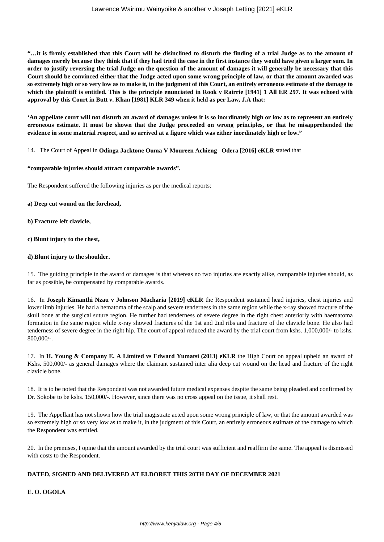**"…it is firmly established that this Court will be disinclined to disturb the finding of a trial Judge as to the amount of damages merely because they think that if they had tried the case in the first instance they would have given a larger sum. In order to justify reversing the trial Judge on the question of the amount of damages it will generally be necessary that this Court should be convinced either that the Judge acted upon some wrong principle of law, or that the amount awarded was so extremely high or so very low as to make it, in the judgment of this Court, an entirely erroneous estimate of the damage to which the plaintiff is entitled. This is the principle enunciated in Rook v Rairrie [1941] 1 All ER 297. It was echoed with approval by this Court in Butt v. Khan [1981] KLR 349 when it held as per Law, J.A that:**

**'An appellate court will not disturb an award of damages unless it is so inordinately high or low as to represent an entirely erroneous estimate. It must be shown that the Judge proceeded on wrong principles, or that he misapprehended the evidence in some material respect, and so arrived at a figure which was either inordinately high or low."**

14. The Court of Appeal in **Odinga Jacktone Ouma V Moureen Achieng Odera [2016] eKLR** stated that

### **"comparable injuries should attract comparable awards".**

The Respondent suffered the following injuries as per the medical reports;

**a) Deep cut wound on the forehead,** 

**b) Fracture left clavicle,** 

**c) Blunt injury to the chest,** 

### **d) Blunt injury to the shoulder.**

15. The guiding principle in the award of damages is that whereas no two injuries are exactly alike, comparable injuries should, as far as possible, be compensated by comparable awards.

16. In **Joseph Kimanthi Nzau v Johnson Macharia [2019] eKLR** the Respondent sustained head injuries, chest injuries and lower limb injuries. He had a hematoma of the scalp and severe tenderness in the same region while the x-ray showed fracture of the skull bone at the surgical suture region. He further had tenderness of severe degree in the right chest anteriorly with haematoma formation in the same region while x-ray showed fractures of the 1st and 2nd ribs and fracture of the clavicle bone. He also had tenderness of severe degree in the right hip. The court of appeal reduced the award by the trial court from kshs. 1,000,000/- to kshs. 800,000/-.

17. In **H. Young & Company E. A Limited vs Edward Yumatsi (2013) eKLR** the High Court on appeal upheld an award of Kshs. 500,000/- as general damages where the claimant sustained inter alia deep cut wound on the head and fracture of the right clavicle bone.

18. It is to be noted that the Respondent was not awarded future medical expenses despite the same being pleaded and confirmed by Dr. Sokobe to be kshs. 150,000/-. However, since there was no cross appeal on the issue, it shall rest.

19. The Appellant has not shown how the trial magistrate acted upon some wrong principle of law, or that the amount awarded was so extremely high or so very low as to make it, in the judgment of this Court, an entirely erroneous estimate of the damage to which the Respondent was entitled.

20. In the premises, I opine that the amount awarded by the trial court was sufficient and reaffirm the same. The appeal is dismissed with costs to the Respondent.

# **DATED, SIGNED AND DELIVERED AT ELDORET THIS 20TH DAY OF DECEMBER 2021**

**E. O. OGOLA**